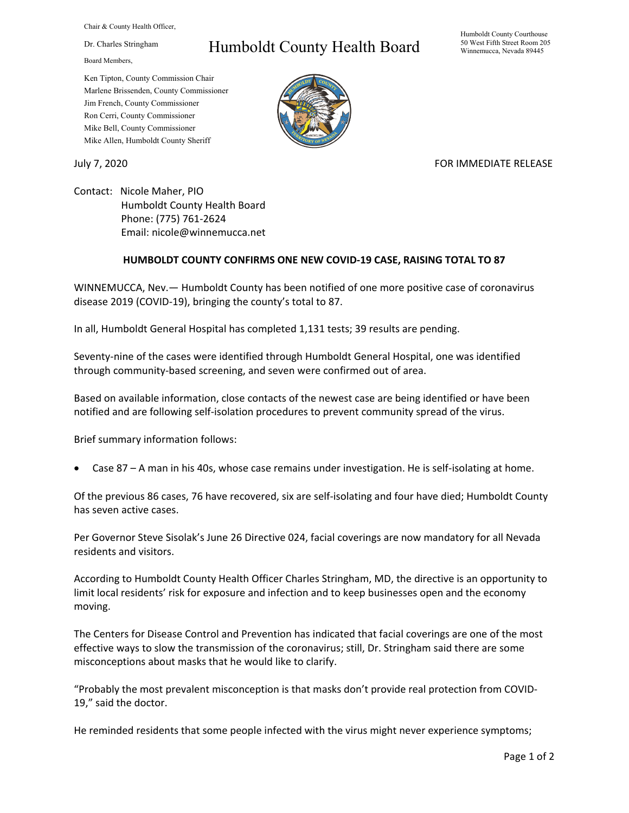Chair & County Health Officer,

Dr. Charles Stringham

Board Members,

## Humboldt County Health Board

Humboldt County Courthouse 50 West Fifth Street Room 205 Winnemucca, Nevada 89445

Ken Tipton, County Commission Chair Marlene Brissenden, County Commissioner Jim French, County Commissioner Ron Cerri, County Commissioner Mike Bell, County Commissioner Mike Allen, Humboldt County Sheriff

July 7, 2020 **FOR IMMEDIATE RELEASE** 

Contact: Nicole Maher, PIO Humboldt County Health Board Phone: (775) 761-2624 Email: nicole@winnemucca.net

## **HUMBOLDT COUNTY CONFIRMS ONE NEW COVID-19 CASE, RAISING TOTAL TO 87**

WINNEMUCCA, Nev.— Humboldt County has been notified of one more positive case of coronavirus disease 2019 (COVID-19), bringing the county's total to 87.

In all, Humboldt General Hospital has completed 1,131 tests; 39 results are pending.

Seventy-nine of the cases were identified through Humboldt General Hospital, one was identified through community-based screening, and seven were confirmed out of area.

Based on available information, close contacts of the newest case are being identified or have been notified and are following self-isolation procedures to prevent community spread of the virus.

Brief summary information follows:

• Case 87 – A man in his 40s, whose case remains under investigation. He is self-isolating at home.

Of the previous 86 cases, 76 have recovered, six are self-isolating and four have died; Humboldt County has seven active cases.

Per Governor Steve Sisolak's June 26 Directive 024, facial coverings are now mandatory for all Nevada residents and visitors.

According to Humboldt County Health Officer Charles Stringham, MD, the directive is an opportunity to limit local residents' risk for exposure and infection and to keep businesses open and the economy moving.

The Centers for Disease Control and Prevention has indicated that facial coverings are one of the most effective ways to slow the transmission of the coronavirus; still, Dr. Stringham said there are some misconceptions about masks that he would like to clarify.

"Probably the most prevalent misconception is that masks don't provide real protection from COVID-19," said the doctor.

He reminded residents that some people infected with the virus might never experience symptoms;